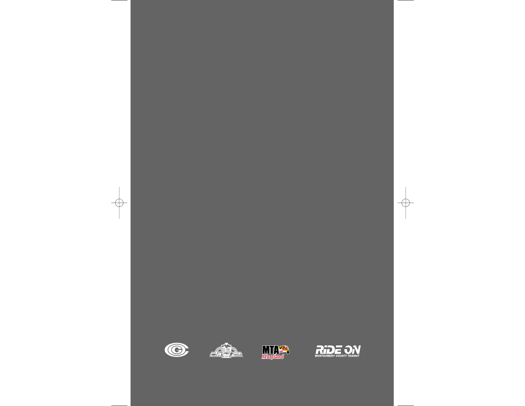





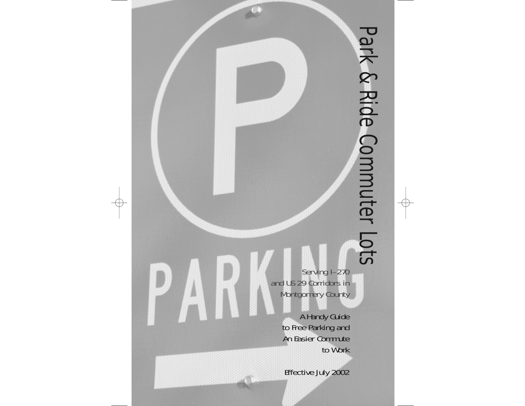Serving I–270 and US 29 Corridors in Montgomery County

> A Handy Guide to Free Parking and An Easier Commute to Work

Effective July 2002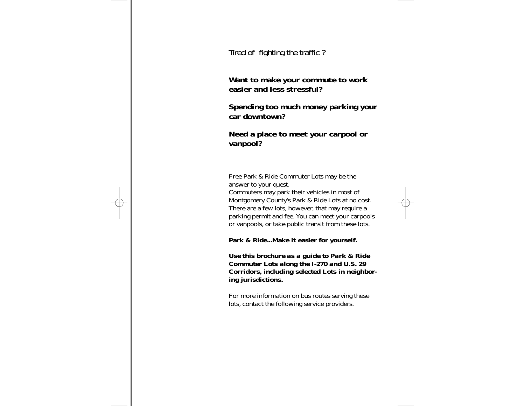Tired of fighting the traffic ?

**Want to make your commute to work easier and less stressful?**

## **Spending too much money parking your car downtown?**

## **Need a place to meet your carpool or vanpool?**

Free Park & Ride Commuter Lots may be the answer to your quest. Commuters may park their vehicles in most of Montgomery County's Park & Ride Lots at no cost. There are a few lots, however, that may require a parking permit and fee. You can meet your carpools or vanpools, or take public transit from these lots.

**Park & Ride...Make it easier for yourself.**

*Use this brochure as a guide to Park & Ride Commuter Lots along the I-270 and U.S. 29 Corridors, including selected Lots in neighboring jurisdictions.* 

For more information on bus routes serving these lots, contact the following service providers.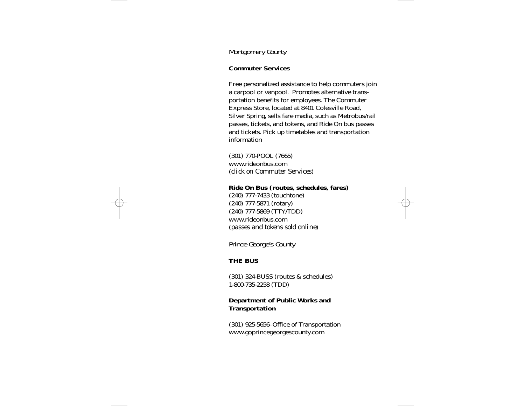## Montgomery County

### **Commuter Services**

Free personalized assistance to help commuters join a carpool or vanpool. Promotes alternative transportation benefits for employees. The Commuter Express Store, located at 8401 Colesville Road, Silver Spring, sells fare media, such as Metrobus/rail passes, tickets, and tokens, and Ride On bus passes and tickets. Pick up timetables and transportation information

(301) 770-POOL (7665) www.rideonbus.com (*click on Commuter Services*)

#### **Ride On Bus (routes, schedules, fares)**

(240) 777-7433 (touchtone) (240) 777-5871 (rotary) (240) 777-5869 (TTY/TDD) www.rideonbus.com (*passes and tokens sold online*)

## Prince George's County

### **THE BUS**

(301) 324-BUSS (routes & schedules) 1-800-735-2258 (TDD)

### **Department of Public Works and Transportation**

(301) 925-5656–Office of Transportation www.goprincegeorgescounty.com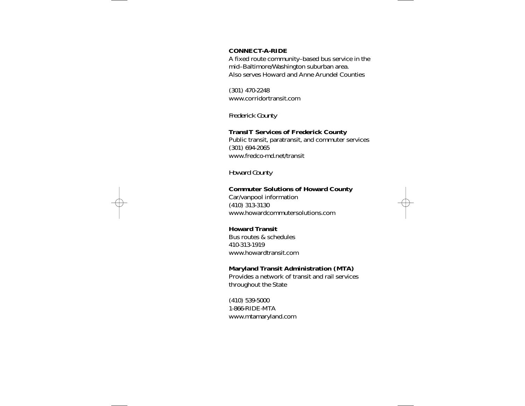#### **CONNECT-A-RIDE**

A fixed route community–based bus service in the mid–Baltimore/Washington suburban area. Also serves Howard and Anne Arundel Counties

(301) 470-2248 www.corridortransit.com

## Frederick County

#### **TransIT Services of Frederick County**

Public transit, paratransit, and commuter services (301) 694-2065 www.fredco-md.net/transit

## Howard County

#### **Commuter Solutions of Howard County**

Car/vanpool information (410) 313-3130 www.howardcommutersolutions.com

#### **Howard Transit**

Bus routes & schedules410-313-1919www.howardtransit.com

### **Maryland Transit Administration (MTA)**

Provides a network of transit and rail services throughout the State

(410) 539-5000 1-866-RIDE-MTAwww.mtamaryland.com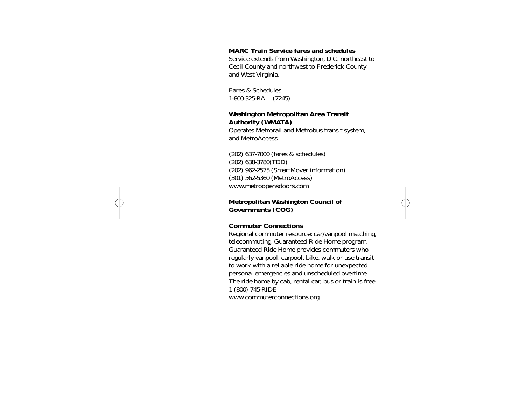#### **MARC Train Service fares and schedules**

Service extends from Washington, D.C. northeast to Cecil County and northwest to Frederick County and West Virginia.

Fares & Schedules1-800-325-RAIL (7245)

### **Washington Metropolitan Area Transit Authority (WMATA)**

Operates Metrorail and Metrobus transit system, and MetroAccess.

(202) 637-7000 (fares & schedules) (202) 638-3780(TDD) (202) 962-2575 (SmartMover information) (301) 562-5360 (MetroAccess) www.metroopensdoors.com

### **Metropolitan Washington Council of Governments (COG)**

#### **Commuter Connections**

Regional commuter resource: car/vanpool matching, telecommuting, Guaranteed Ride Home program. Guaranteed Ride Home provides commuters who regularly vanpool, carpool, bike, walk or use transit to work with a reliable ride home for unexpected personal emergencies and unscheduled overtime. The ride home by cab, rental car, bus or train is free. 1 (800) 745-RIDE

www.commuterconnections.org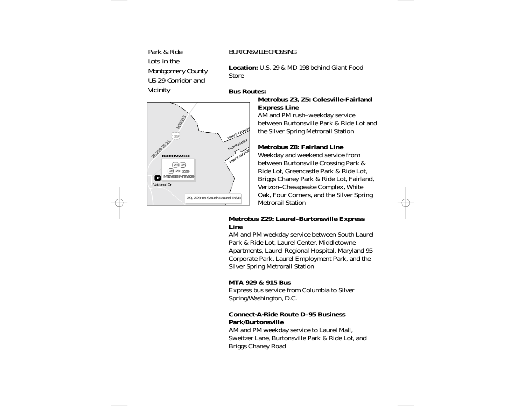# Park & RideLots in theMontgomery County US 29 Corridor and**Vicinity**

## BURTONSVILLE CROSSING

**Location:** U.S. 29 & MD 198 behind Giant Food**Store** 

### **Bus Routes:**



## **Metrobus Z3, Z5: Colesville-Fairland Express Line**

AM and PM rush–weekday service between Burtonsville Park & Ride Lot and the Silver Spring Metrorail Station

## **Metrobus Z8: Fairland Line**

Weekday and weekend service from between Burtonsville Crossing Park & Ride Lot, Greencastle Park & Ride Lot, Briggs Chaney Park & Ride Lot, Fairland, Verizon–Chesapeake Complex, White Oak, Four Corners, and the Silver Spring Metrorail Station

## **Metrobus Z29: Laurel–Burtonsville Express Line**

AM and PM weekday service between South Laurel Park & Ride Lot, Laurel Center, Middletowne Apartments, Laurel Regional Hospital, Maryland 95 Corporate Park, Laurel Employment Park, and the Silver Spring Metrorail Station

## **MTA 929 & 915 Bus**

Express bus service from Columbia to Silver Spring/Washington, D.C.

## **Connect-A-Ride Route D–95 BusinessPark/Burtonsville**

AM and PM weekday service to Laurel Mall, Sweitzer Lane, Burtonsville Park & Ride Lot, and Briggs Chaney Road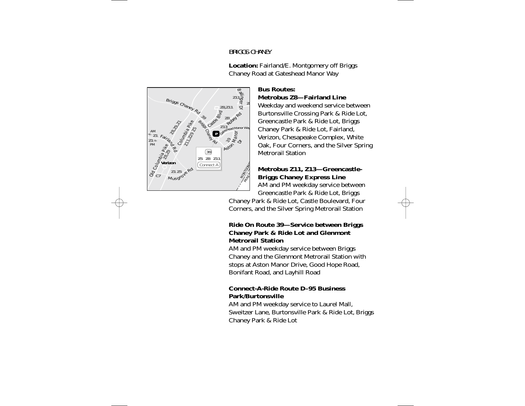### BRIGGS CHANEY



**Location:** Fairland/E. Montgomery off Briggs Chaney Road at Gateshead Manor Way

### **Bus Routes: Metrobus Z8—Fairland Line**

Weekday and weekend service between Burtonsville Crossing Park & Ride Lot, Greencastle Park & Ride Lot, Briggs Chaney Park & Ride Lot, Fairland, Verizon, Chesapeake Complex, White Oak, Four Corners, and the Silver Spring Metrorail Station

# **Metrobus Z11, Z13—Greencastle-Briggs Chaney Express Line**

AM and PM weekday service between Greencastle Park & Ride Lot, Briggs

Chaney Park & Ride Lot, Castle Boulevard, Four Corners, and the Silver Spring Metrorail Station

## **Ride On Route 39—Service between Briggs Chaney Park & Ride Lot and Glenmont Metrorail Station**

AM and PM weekday service between Briggs Chaney and the Glenmont Metrorail Station with stops at Aston Manor Drive, Good Hope Road, Bonifant Road, and Layhill Road

## **Connect-A-Ride Route D–95 BusinessPark/Burtonsville**

AM and PM weekday service to Laurel Mall, Sweitzer Lane, Burtonsville Park & Ride Lot, Briggs Chaney Park & Ride Lot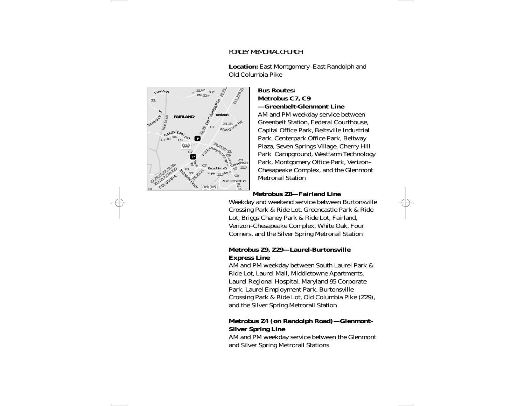## FORCEY MEMORIAL CHURCH



**Location:** East Montgomery–East Randolph and Old Columbia Pike

#### **Bus Routes:Metrobus C7, C9 —Greenbelt-Glenmont Line**

AM and PM weekday service between Greenbelt Station, Federal Courthouse, Capital Office Park, Beltsville Industrial Park, Centerpark Office Park, Beltway Plaza, Seven Springs Village, Cherry Hill Park Campground, Westfarm Technology Park, Montgomery Office Park, Verizon– Chesapeake Complex, and the Glenmont Metrorail Station

## **Metrobus Z8—Fairland Line**

Weekday and weekend service between Burtonsville Crossing Park & Ride Lot, Greencastle Park & Ride Lot, Briggs Chaney Park & Ride Lot, Fairland, Verizon–Chesapeake Complex, White Oak, Four Corners, and the Silver Spring Metrorail Station

## **Metrobus Z9, Z29—Laurel-Burtonsville Express Line**

AM and PM weekday between South Laurel Park & Ride Lot, Laurel Mall, Middletowne Apartments, Laurel Regional Hospital, Maryland 95 Corporate Park, Laurel Employment Park, Burtonsville Crossing Park & Ride Lot, Old Columbia Pike (Z29), and the Silver Spring Metrorail Station

## **Metrobus Z4 (on Randolph Road)—Glenmont-Silver Spring Line**

AM and PM weekday service between the Glenmont and Silver Spring Metrorail Stations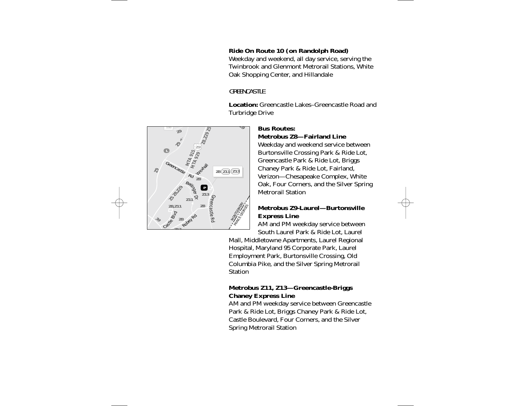## **Ride On Route 10 (on Randolph Road)**

Weekday and weekend, all day service, serving the Twinbrook and Glenmont Metrorail Stations, White Oak Shopping Center, and Hillandale

## **GREENCASTLE**

**Location:** Greencastle Lakes–Greencastle Road andTurbridge Drive



### **Bus Routes:**

### **Metrobus Z8—Fairland Line**

Weekday and weekend service between Burtonsville Crossing Park & Ride Lot, Greencastle Park & Ride Lot, Briggs Chaney Park & Ride Lot, Fairland, Verizon—Chesapeake Complex, White Oak, Four Corners, and the Silver Spring Metrorail Station

### **Metrobus Z9-Laurel—BurtonsvilleExpress Line**

AM and PM weekday service between South Laurel Park & Ride Lot, Laurel

Mall, Middletowne Apartments, Laurel Regional Hospital, Maryland 95 Corporate Park, Laurel Employment Park, Burtonsville Crossing, Old Columbia Pike, and the Silver Spring Metrorail **Station** 

## **Metrobus Z11, Z13—Greencastle-Briggs Chaney Express Line**

AM and PM weekday service between Greencastle Park & Ride Lot, Briggs Chaney Park & Ride Lot, Castle Boulevard, Four Corners, and the Silver Spring Metrorail Station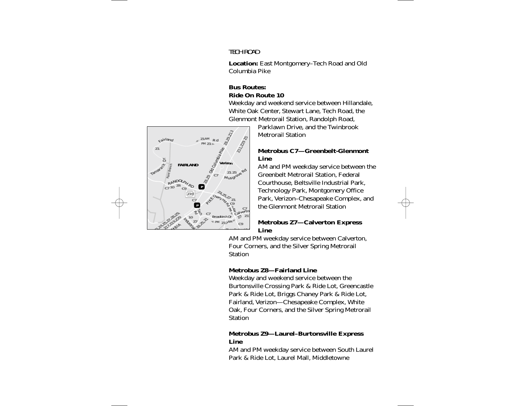## TECH ROAD

**Location:** East Montgomery–Tech Road and Old Columbia Pike

## **Bus Routes:Ride On Route 10**

Weekday and weekend service between Hillandale, White Oak Center, Stewart Lane, Tech Road, the Glenmont Metrorail Station, Randolph Road,



Parklawn Drive, and the Twinbrook Metrorail Station

### **Metrobus C7—Greenbelt-Glenmont Line**

AM and PM weekday service between the Greenbelt Metrorail Station, Federal Courthouse, Beltsville Industrial Park, Technology Park, Montgomery Office Park, Verizon–Chesapeake Complex, and the Glenmont Metrorail Station

### **Metrobus Z7—Calverton Express Line**

AM and PM weekday service between Calverton, Four Corners, and the Silver Spring Metrorail **Station** 

## **Metrobus Z8—Fairland Line**

Weekday and weekend service between the Burtonsville Crossing Park & Ride Lot, Greencastle Park & Ride Lot, Briggs Chaney Park & Ride Lot, Fairland, Verizon—Chesapeake Complex, White Oak, Four Corners, and the Silver Spring Metrorail **Station** 

### **Metrobus Z9—Laurel–Burtonsville Express Line**

AM and PM weekday service between South Laurel Park & Ride Lot, Laurel Mall, Middletowne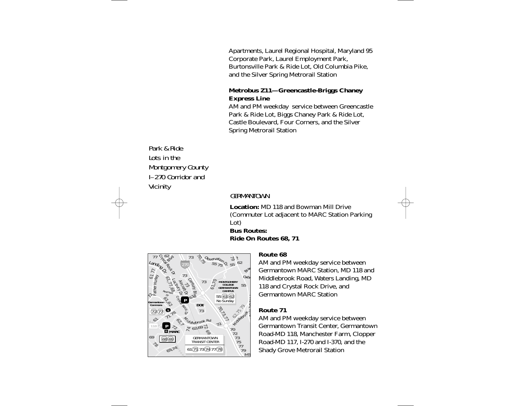Apartments, Laurel Regional Hospital, Maryland 95 Corporate Park, Laurel Employment Park, Burtonsville Park & Ride Lot, Old Columbia Pike, and the Silver Spring Metrorail Station

### **Metrobus Z11—Greencastle-Briggs Chaney Express Line**

AM and PM weekday service between Greencastle Park & Ride Lot, Biggs Chaney Park & Ride Lot, Castle Boulevard, Four Corners, and the Silver Spring Metrorail Station

Park & RideLots in theMontgomery County I–270 Corridor and**Vicinity** 

### **GERMANTOWN**

**Location:** MD 118 and Bowman Mill Drive(Commuter Lot adjacent to MARC Station Parking Lot)

### **Bus Routes:Ride On Routes 68, 71**



#### **Route 68**

AM and PM weekday service between Germantown MARC Station, MD 118 and Middlebrook Road, Waters Landing, MD 118 and Crystal Rock Drive, and Germantown MARC Station

#### **Route 71**

AM and PM weekday service between Germantown Transit Center, Germantown Road-MD 118, Manchester Farm, Clopper Road-MD 117, I-270 and I-370, and the Shady Grove Metrorail Station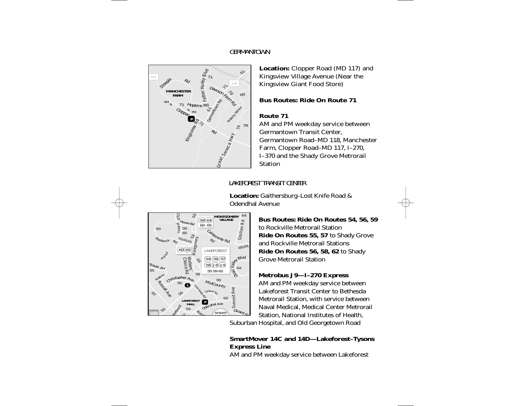## GERMANTOWN



**Location:** Clopper Road (MD 117) and Kingsview Village Avenue (Near the Kingsview Giant Food Store)

## **Bus Routes: Ride On Route 71**

## **Route 71**

AM and PM weekday service between Germantown Transit Center, Germantown Road–MD 118, Manchester Farm, Clopper Road–MD 117, I–270, I–370 and the Shady Grove Metrorail Station

# LAKEFOREST TRANSIT CENTER

**Location:** Gaithersburg–Lost Knife Road & Odendhal Avenue



**Bus Routes: Ride On Routes 54, 56, 59** to Rockville Metrorail Station**Ride On Routes 55, 57** to Shady Grove and Rockville Metrorail Stations **Ride On Routes 56, 58, 62** to Shady Grove Metrorail Station

## **Metrobus J9—I–270 Express**

AM and PM weekday service between Lakeforest Transit Center to BethesdaMetrorail Station, with service between Naval Medical, Medical Center Metrorail Station, National Institutes of Health,

Suburban Hospital, and Old Georgetown Road

## **SmartMover 14C and 14D—Lakeforest–Tysons Express Line**

AM and PM weekday service between Lakeforest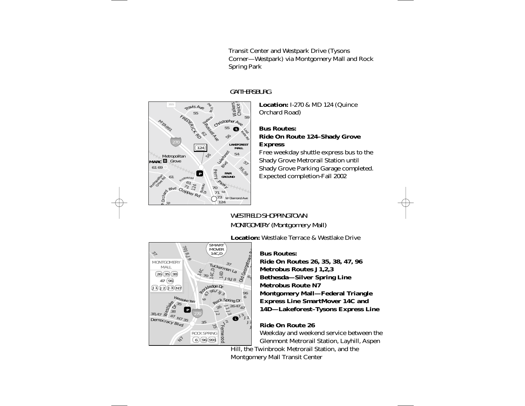Transit Center and Westpark Drive (Tysons Corner—Westpark) via Montgomery Mall and Rock Spring Park



## GAITHERSBURG

**Location:** I-270 & MD 124 (Quince Orchard Road)

### **Bus Routes:Ride On Route 124–Shady Grove Express**

Free weekday shuttle express bus to the Shady Grove Metrorail Station until Shady Grove Parking Garage completed. Expected completion-Fall 2002

# WESTFIELD SHOPPINGTOWNMONTGOMERY (Montgomery Mall)

**Location:** Westlake Terrace & Westlake Drive



### **Bus Routes:**

**Ride On Routes 26, 35, 38, 47, 96 Metrobus Routes J1,2,3 Bethesda—Silver Spring Line Metrobus Route N7 Montgomery Mall—Federal Triangle Express Line SmartMover 14C and 14D—Lakeforest–Tysons Express Line**

## **Ride On Route 26**

Weekday and weekend service between the Glenmont Metrorail Station, Layhill, Aspen

Hill, the Twinbrook Metrorail Station, and the Montgomery Mall Transit Center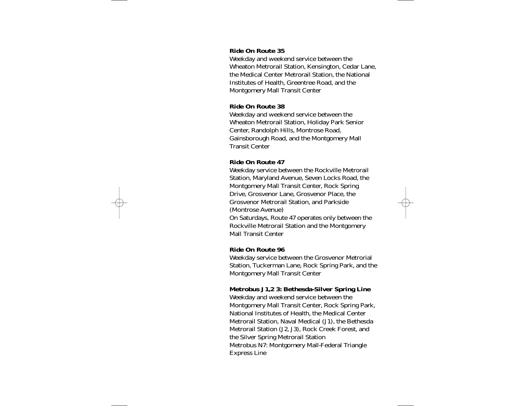#### **Ride On Route 35**

Weekday and weekend service between the Wheaton Metrorail Station, Kensington, Cedar Lane, the Medical Center Metrorail Station, the National Institutes of Health, Greentree Road, and the Montgomery Mall Transit Center

#### **Ride On Route 38**

Weekday and weekend service between the Wheaton Metrorail Station, Holiday Park Senior Center, Randolph Hills, Montrose Road, Gainsborough Road, and the Montgomery Mall Transit Center

#### **Ride On Route 47**

Weekday service between the Rockville Metrorail Station, Maryland Avenue, Seven Locks Road, the Montgomery Mall Transit Center, Rock Spring Drive, Grosvenor Lane, Grosvenor Place, the Grosvenor Metrorail Station, and Parkside (Montrose Avenue)

On Saturdays, Route 47 operates only between the Rockville Metrorail Station and the Montgomery Mall Transit Center

#### **Ride On Route 96**

Weekday service between the Grosvenor Metrorial Station, Tuckerman Lane, Rock Spring Park, and the Montgomery Mall Transit Center

#### **Metrobus J1,2 3: Bethesda-Silver Spring Line**

Weekday and weekend service between the Montgomery Mall Transit Center, Rock Spring Park, National Institutes of Health, the Medical Center Metrorail Station, Naval Medical (J1), the Bethesda Metrorail Station (J2, J3), Rock Creek Forest, and the Silver Spring Metrorail Station Metrobus N7: Montgomery Mall-Federal Triangle Express Line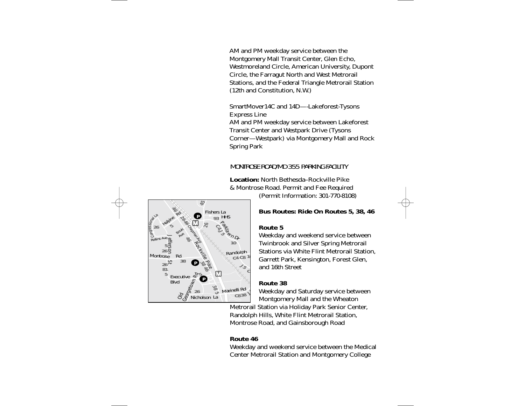AM and PM weekday service between the Montgomery Mall Transit Center, Glen Echo, Westmoreland Circle, American University, Dupont Circle, the Farragut North and West Metrorail Stations, and the Federal Triangle Metrorail Station (12th and Constitution, N.W.)

SmartMover14C and 14D—-Lakeforest-Tysons Express Line AM and PM weekday service between Lakeforest Transit Center and Westpark Drive (Tysons Corner—Westpark) via Montgomery Mall and Rock Spring Park

## MONTROSE ROAD/MD 355 PARKING FACILITY

**Location:** North Bethesda–Rockville Pike & Montrose Road. Permit and Fee Required

(Permit Information: 301-770-8108)

### **Bus Routes: Ride On Routes 5, 38, 46**

#### **Route 5**

Weekday and weekend service between Twinbrook and Silver Spring Metrorail Stations via White Flint Metrorail Station, Garrett Park, Kensington, Forest Glen, and 16th Street

#### **Route 38**

Weekday and Saturday service between Montgomery Mall and the Wheaton

Metrorail Station via Holiday Park Senior Center, Randolph Hills, White Flint Metrorail Station, Montrose Road, and Gainsborough Road

#### **Route 46**

Weekday and weekend service between the Medical Center Metrorail Station and Montgomery College

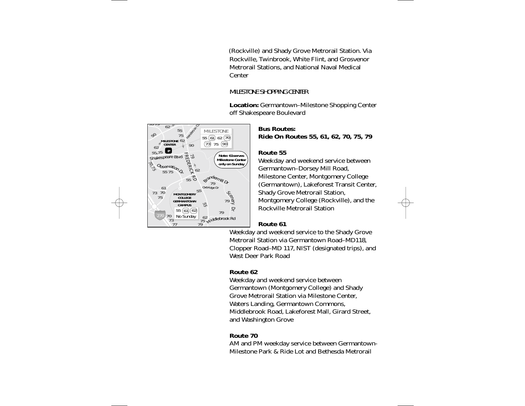(Rockville) and Shady Grove Metrorail Station. Via Rockville, Twinbrook, White Flint, and Grosvenor Metrorail Stations, and National Naval Medical **Center** 

## MILESTONE SHOPPING CENTER

**Location:** Germantown–Milestone Shopping Center off Shakespeare Boulevard



## **Bus Routes:Ride On Routes 55, 61, 62, 70, 75, 79**

### **Route 55**

Weekday and weekend service between Germantown–Dorsey Mill Road, Milestone Center, Montgomery College (Germantown), Lakeforest Transit Center, Shady Grove Metrorail Station, Montgomery College (Rockville), and the Rockville Metrorail Station

### **Route 61**

Weekday and weekend service to the Shady Grove Metrorail Station via Germantown Road–MD118, Clopper Road–MD 117, NIST (designated trips), and West Deer Park Road

### **Route 62**

Weekday and weekend service between Germantown (Montgomery College) and Shady Grove Metrorail Station via Milestone Center, Waters Landing, Germantown Commons, Middlebrook Road, Lakeforest Mall, Girard Street, and Washington Grove

## **Route 70**

AM and PM weekday service between Germantown-Milestone Park & Ride Lot and Bethesda Metrorail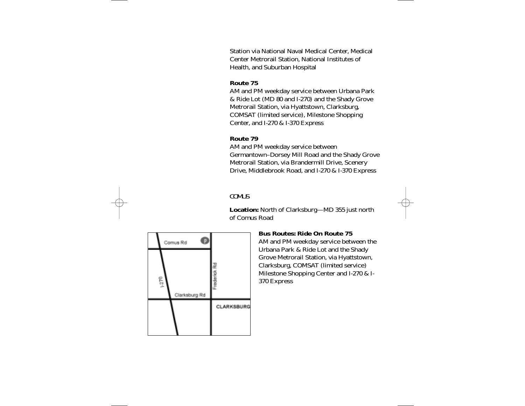Station via National Naval Medical Center, Medical Center Metrorail Station, National Institutes of Health, and Suburban Hospital

### **Route 75**

AM and PM weekday service between Urbana Park & Ride Lot (MD 80 and I-270) and the Shady Grove Metrorail Station, via Hyattstown, Clarksburg, COMSAT (limited service), Milestone Shopping Center, and I-270 & I-370 Express

### **Route 79**

AM and PM weekday service between Germantown–Dorsey Mill Road and the Shady Grove Metrorail Station, via Brandermill Drive, Scenery Drive, Middlebrook Road, and I-270 & I-370 Express

## **COMUS**

**Location:** North of Clarksburg—MD 355 just north of Comus Road



### **Bus Routes: Ride On Route 75**

AM and PM weekday service between the Urbana Park & Ride Lot and the Shady Grove Metrorail Station, via Hyattstown, Clarksburg, COMSAT (limited service) Milestone Shopping Center and I-270 & I-370 Express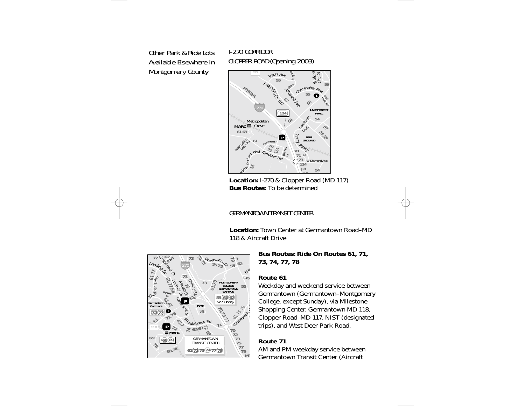# Other Park & Ride LotsAvailable Elsewhere inMontgomery County

# I-270 CORRIDORCLOPPER ROAD (Opening 2003)



 **Location:** I-270 & Clopper Road (MD 117) **Bus Routes:** To be determined

# GERMANTOWN TRANSIT CENTER

**Location:** Town Center at Germantown Road–MD118 & Aircraft Drive



**Bus Routes: Ride On Routes 61, 71, 73, 74, 77, 78**

### **Route 61**

Weekday and weekend service between Germantown (Germantown–Montgomery College, except Sunday), via Milestone Shopping Center, Germantown-MD 118, Clopper Road–MD 117, NIST (designated trips), and West Deer Park Road.

### **Route 71**

AM and PM weekday service between Germantown Transit Center (Aircraft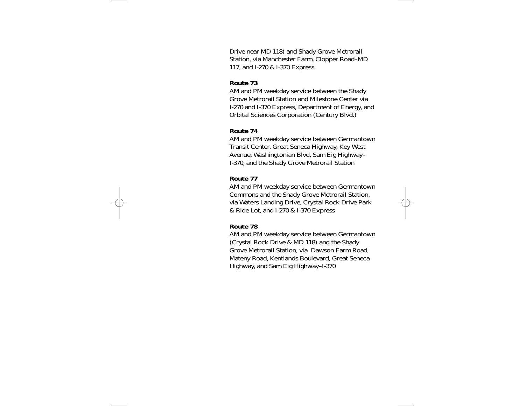Drive near MD 118) and Shady Grove Metrorail Station, via Manchester Farm, Clopper Road–MD 117, and I-270 & I-370 Express

### **Route 73**

AM and PM weekday service between the Shady Grove Metrorail Station and Milestone Center via I-270 and I-370 Express, Department of Energy, and Orbital Sciences Corporation (Century Blvd.)

#### **Route 74**

AM and PM weekday service between Germantown Transit Center, Great Seneca Highway, Key West Avenue, Washingtonian Blvd, Sam Eig Highway– I-370, and the Shady Grove Metrorail Station

#### **Route 77**

AM and PM weekday service between Germantown Commons and the Shady Grove Metrorail Station, via Waters Landing Drive, Crystal Rock Drive Park & Ride Lot, and I-270 & I-370 Express

#### **Route 78**

AM and PM weekday service between Germantown (Crystal Rock Drive & MD 118) and the Shady Grove Metrorail Station, via Dawson Farm Road, Mateny Road, Kentlands Boulevard, Great Seneca Highway, and Sam Eig Highway–I-370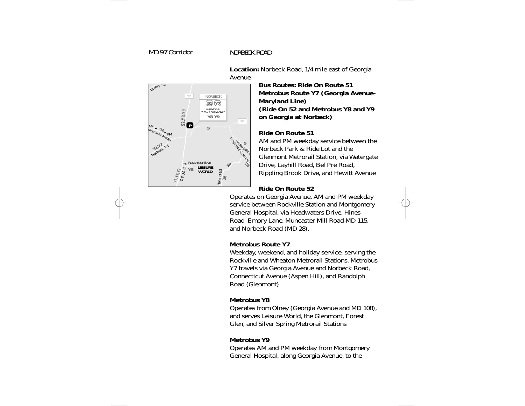## NORBECK ROAD



**Location:** Norbeck Road, 1/4 mile east of Georgia Avenue

> **Bus Routes: Ride On Route 51Metrobus Route Y7 (Georgia Avenue-Maryland Line) (Ride On 52 and Metrobus Y8 and Y9 on Georgia at Norbeck)**

### **Ride On Route 51**

AM and PM weekday service between the Norbeck Park & Ride Lot and theGlenmont Metrorail Station, via Watergate Drive, Layhill Road, Bel Pre Road, Rippling Brook Drive, and Hewitt Avenue

## **Ride On Route 52**

Operates on Georgia Avenue, AM and PM weekday service between Rockville Station and Montgomery General Hospital, via Headwaters Drive, Hines Road–Emory Lane, Muncaster Mill Road-MD 115, and Norbeck Road (MD 28).

## **Metrobus Route Y7**

Weekday, weekend, and holiday service, serving the Rockville and Wheaton Metrorail Stations. MetrobusY7 travels via Georgia Avenue and Norbeck Road, Connecticut Avenue (Aspen Hill), and Randolph Road (Glenmont)

## **Metrobus Y8**

Operates from Olney (Georgia Avenue and MD 108), and serves Leisure World, the Glenmont, Forest Glen, and Silver Spring Metrorail Stations

## **Metrobus Y9**

Operates AM and PM weekday from Montgomery General Hospital, along Georgia Avenue, to the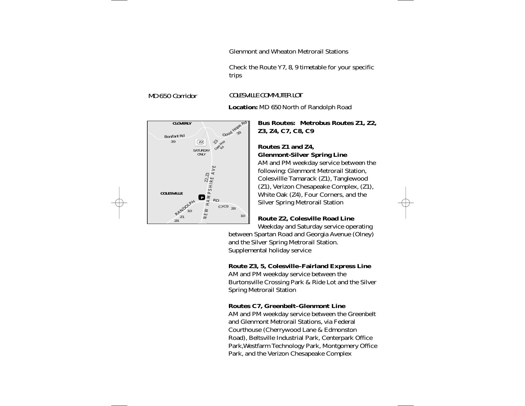Glenmont and Wheaton Metrorail Stations

Check the Route Y7, 8, 9 timetable for your specific trips

## COLESVILLE COMMUTER LOT

**Location:** MD 650 North of Randolph Road

**Bus Routes: Metrobus Routes Z1, Z2, Z3, Z4, C7, C8, C9**

## **Routes Z1 and Z4, Glenmont-Silver Spring Line**

AM and PM weekday service between the following: Glenmont Metrorail Station, Colesvillle Tamarack (Z1), Tanglewood (Z1), Verizon Chesapeake Complex, (Z1), White Oak (Z4), Four Corners, and the Silver Spring Metrorail Station

## **Route Z2, Colesville Road Line**

Weekday and Saturday service operating between Spartan Road and Georgia Avenue (Olney) and the Silver Spring Metrorail Station. Supplemental holiday service

## **Route Z3, 5, Colesville–Fairland Express Line**

AM and PM weekday service between the Burtonsville Crossing Park & Ride Lot and the Silver Spring Metrorail Station

### **Routes C7, Greenbelt–Glenmont Line**

AM and PM weekday service between the Greenbelt and Glenmont Metrorail Stations, via Federal Courthouse (Cherrywood Lane & Edmonston Road), Beltsville Industrial Park, Centerpark Office Park,Westfarm Technology Park, Montgomery Office Park, and the Verizon Chesapeake Complex



# MD 650 Corridor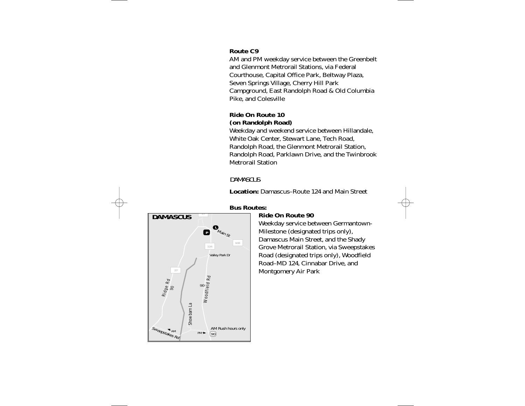### **Route C9**

AM and PM weekday service between the Greenbelt and Glenmont Metrorail Stations, via Federal Courthouse, Capital Office Park, Beltway Plaza, Seven Springs Village, Cherry Hill Park Campground, East Randolph Road & Old Columbia Pike, and Colesville

## **Ride On Route 10 (on Randolph Road)**

Weekday and weekend service between Hillandale, White Oak Center, Stewart Lane, Tech Road, Randolph Road, the Glenmont Metrorail Station, Randolph Road, Parklawn Drive, and the Twinbrook Metrorail Station

## **DAMASCUS**

**Location:** Damascus–Route 124 and Main Street



## **Bus Routes:**

## **Ride On Route 90**

Weekday service between Germantown-Milestone (designated trips only), Damascus Main Street, and the Shady Grove Metrorail Station, via Sweepstakes Road (designated trips only), Woodfield Road–MD 124, Cinnabar Drive, and Montgomery Air Park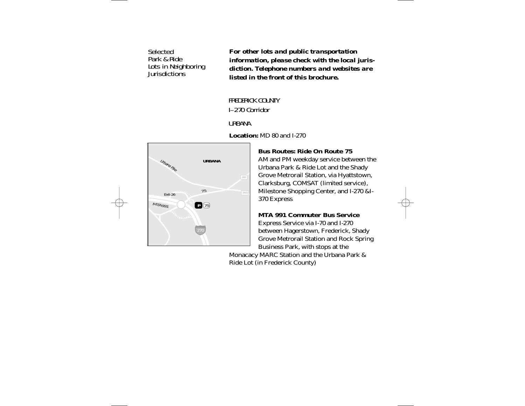# **Selected** Park & RideLots in Neighborin<mark>g</mark><br>Jurisdictions

*For other lots and public transportation information, please check with the local jurisdiction. Telephone numbers and websites are listed in the front of this brochure.*

## FREDERICK COUNTYI–270 Corridor

## URBANA

**Location:** MD 80 and I-270



## **Bus Routes: Ride On Route 75**

AM and PM weekday service between the Urbana Park & Ride Lot and the Shady Grove Metrorail Station, via Hyattstown, Clarksburg, COMSAT (limited service), Milestone Shopping Center, and I-270 &I-370 Express

### **MTA 991 Commuter Bus Service**

Express Service via I-70 and I-270 between Hagerstown, Frederick, Shady Grove Metrorail Station and Rock Spring Business Park, with stops at the

Monacacy MARC Station and the Urbana Park & Ride Lot (in Frederick County)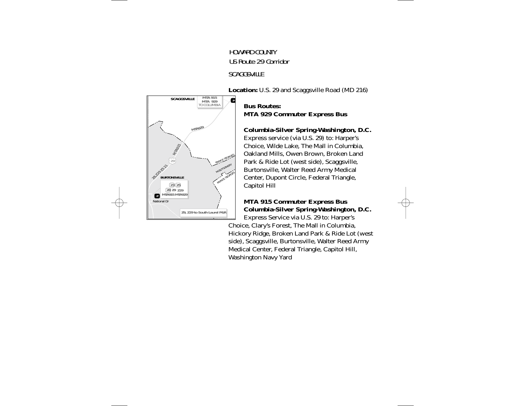# HOWARD COUNTYUS Route 29 Corridor**SCAGGSVILLE**

**Location:** U.S. 29 and Scaggsville Road (MD 216)



## **Bus Routes:MTA 929 Commuter Express Bus**

## **Columbia-Silver Spring-Washington, D.C.**

Express service (via U.S. 29) to: Harper's Choice, Wilde Lake, The Mall in Columbia, Oakland Mills, Owen Brown, Broken Land Park & Ride Lot (west side), Scaggsville, Burtonsville, Walter Reed Army Medical Center, Dupont Circle, Federal Triangle, Capitol Hill

### **MTA 915 Commuter Express Bus Columbia-Silver Spring-Washington, D.C.** Express Service via U.S. 29 to: Harper's

Choice, Clary's Forest, The Mall in Columbia, Hickory Ridge, Broken Land Park & Ride Lot (west side), Scaggsville, Burtonsville, Walter Reed Army Medical Center, Federal Triangle, Capitol Hill, Washington Navy Yard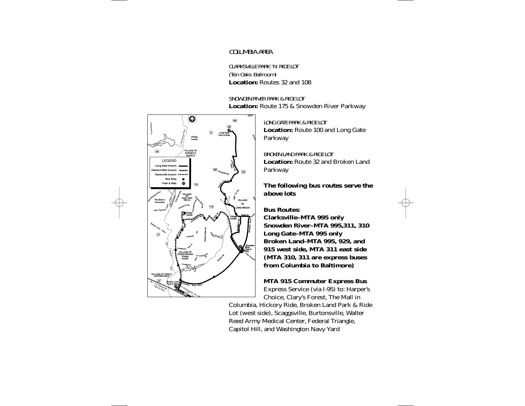## COLUMBIA AREA

CLARKSVILLE PARK 'N' RIDE LOT (Ten Oaks Ballroom) **Location:** Routes 32 and 108

SNOWDEN RIVER PARK & RIDE LOT**Location:** Route 175 & Snowden River Parkway



LONG GATE PARK & RIDE LOT**Location:** Route 100 and Long Gate Parkway

BROKEN LAND PARK & RIDE LOT**Location:** Route 32 and Broken LandParkway

### *The following bus routes serve the above lots*

**Bus Routes**: **Clarksville–MTA 995 only Snowden River–MTA 995,311, 310 Long Gate–MTA 995 only Broken Land–MTA 995, 929, and 915 west side, MTA 311 east side (MTA 310, 311 are express buses from Columbia to Baltimore)**

### **MTA 915 Commuter Express Bus**

Express Service (via I-95) to: Harper's Choice, Clary's Forest, The Mall in

Columbia, Hickory Ride, Broken Land Park & Ride Lot (west side), Scaggsville, Burtonsville, Walter Reed Army Medical Center, Federal Triangle, Capitol Hill, and Washington Navy Yard